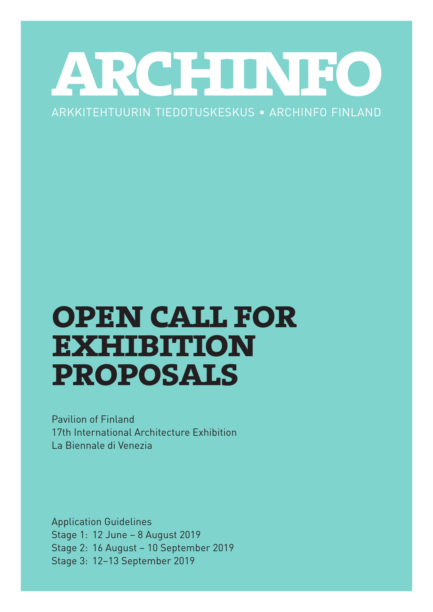# ARCHINEO

# ARKKITEHTUURIN TIEDOTUSKESKUS • ARCHINFO FINLAND

# **open call for exhibition proposals**

Pavilion of Finland 17th International Architecture Exhibition La Biennale di Venezia

Application Guidelines Stage 1: 12 June – 8 August 2019 Stage 2: 16 August – 10 September 2019 Stage 3: 12–13 September 2019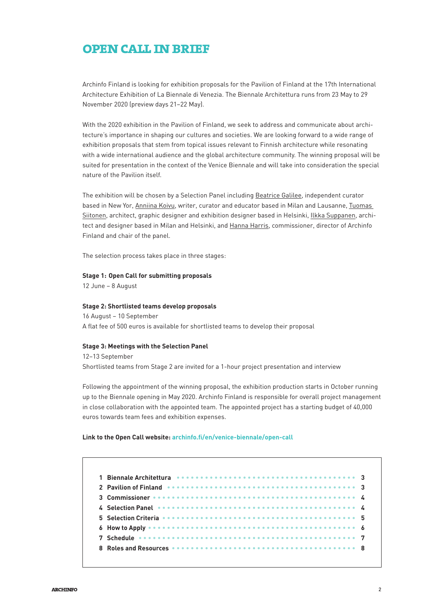# **open call in brief**

Archinfo Finland is looking for exhibition proposals for the Pavilion of Finland at the 17th International Architecture Exhibition of La Biennale di Venezia. The Biennale Architettura runs from 23 May to 29 November 2020 (preview days 21–22 May).

With the 2020 exhibition in the Pavilion of Finland, we seek to address and communicate about architecture's importance in shaping our cultures and societies. We are looking forward to a wide range of exhibition proposals that stem from topical issues relevant to Finnish architecture while resonating with a wide international audience and the global architecture community. The winning proposal will be suited for presentation in the context of the Venice Biennale and will take into consideration the special nature of the Pavilion itself.

The exhibition will be chosen by a Selection Panel including Beatrice Galilee, independent curator based in New Yor, Anniina Koivu, writer, curator and educator based in Milan and Lausanne, Tuomas Siitonen, architect, graphic designer and exhibition designer based in Helsinki, Ilkka Suppanen, architect and designer based in Milan and Helsinki, and Hanna Harris, commissioner, director of Archinfo Finland and chair of the panel.

The selection process takes place in three stages:

#### **Stage 1: Open Call for submitting proposals**

12 June – 8 August

#### **Stage 2: Shortlisted teams develop proposals**

16 August – 10 September A flat fee of 500 euros is available for shortlisted teams to develop their proposal

#### **Stage 3: Meetings with the Selection Panel**

12–13 September Shortlisted teams from Stage 2 are invited for a 1-hour project presentation and interview

Following the appointment of the winning proposal, the exhibition production starts in October running up to the Biennale opening in May 2020. Archinfo Finland is responsible for overall project management in close collaboration with the appointed team. The appointed project has a starting budget of 40,000 euros towards team fees and exhibition expenses.

#### **Link to the Open Call website: [archinfo.fi/en/venice-biennale/open-call](http://archinfo.fi/en/venice-biennale/open-call)**

| 1 Biennale Architettura essessos essessos essessos essessos essessos a 3                 |  |  |  |  |  |  |  |  |  |  |  |  |  |  |  |  |
|------------------------------------------------------------------------------------------|--|--|--|--|--|--|--|--|--|--|--|--|--|--|--|--|
| 2 Pavilion of Finland <b>CONSIDER STATE ASSOCIATE</b> 2 Pavilion of Finland Concession 2 |  |  |  |  |  |  |  |  |  |  |  |  |  |  |  |  |
|                                                                                          |  |  |  |  |  |  |  |  |  |  |  |  |  |  |  |  |
| 4 Selection Panel <i>exercises conservation</i> conservation of the Selection Panel of A |  |  |  |  |  |  |  |  |  |  |  |  |  |  |  |  |
|                                                                                          |  |  |  |  |  |  |  |  |  |  |  |  |  |  |  |  |
|                                                                                          |  |  |  |  |  |  |  |  |  |  |  |  |  |  |  |  |
|                                                                                          |  |  |  |  |  |  |  |  |  |  |  |  |  |  |  |  |
|                                                                                          |  |  |  |  |  |  |  |  |  |  |  |  |  |  |  |  |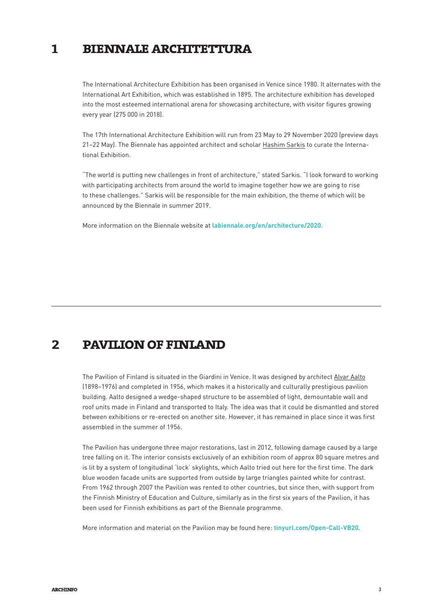#### **biennale architettura 1**

The International Architecture Exhibition has been organised in Venice since 1980. It alternates with the International Art Exhibition, which was established in 1895. The architecture exhibition has developed into the most esteemed international arena for showcasing architecture, with visitor figures growing every year (275 000 in 2018).

The 17th International Architecture Exhibition will run from 23 May to 29 November 2020 (preview days 21–22 May). The Biennale has appointed architect and scholar Hashim Sarkis to curate the International Exhibition.

"The world is putting new challenges in front of architecture," stated Sarkis. "I look forward to working with participating architects from around the world to imagine together how we are going to rise to these challenges." Sarkis will be responsible for the main exhibition, the theme of which will be announced by the Biennale in summer 2019.

More information on the Biennale website at **[labiennale.org/en/architecture/2020](http:// labiennale.org/en/architecture/2020)**.

# **2 pavilion of finland**

The Pavilion of Finland is situated in the Giardini in Venice. It was designed by architect Alvar Aalto (1898–1976) and completed in 1956, which makes it a historically and culturally prestigious pavilion building. Aalto designed a wedge-shaped structure to be assembled of light, demountable wall and roof units made in Finland and transported to Italy. The idea was that it could be dismantled and stored between exhibitions or re-erected on another site. However, it has remained in place since it was first assembled in the summer of 1956.

The Pavilion has undergone three major restorations, last in 2012, following damage caused by a large tree falling on it. The interior consists exclusively of an exhibition room of approx 80 square metres and is lit by a system of longitudinal 'lock' skylights, which Aalto tried out here for the first time. The dark blue wooden facade units are supported from outside by large triangles painted white for contrast. From 1962 through 2007 the Pavilion was rented to other countries, but since then, with support from the Finnish Ministry of Education and Culture, similarly as in the first six years of the Pavilion, it has been used for Finnish exhibitions as part of the Biennale programme.

More information and material on the Pavilion may be found here: **[tinyurl.com/Open-Call-VB20](https://www.dropbox.com/sh/xuzjz2upmtbpyix/AABiUKlBSymnqMcTNBZzwhi8a?dl=0)**.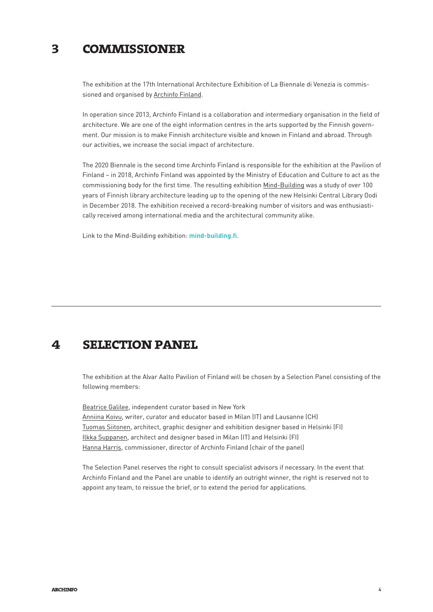#### **commissioner 3**

The exhibition at the 17th International Architecture Exhibition of La Biennale di Venezia is commissioned and organised by Archinfo Finland.

In operation since 2013, Archinfo Finland is a collaboration and intermediary organisation in the field of architecture. We are one of the eight information centres in the arts supported by the Finnish government. Our mission is to make Finnish architecture visible and known in Finland and abroad. Through our activities, we increase the social impact of architecture.

The 2020 Biennale is the second time Archinfo Finland is responsible for the exhibition at the Pavilion of Finland – in 2018, Archinfo Finland was appointed by the Ministry of Education and Culture to act as the commissioning body for the first time. The resulting exhibition Mind-Building was a study of over 100 years of Finnish library architecture leading up to the opening of the new Helsinki Central Library Oodi in December 2018. The exhibition received a record-breaking number of visitors and was enthusiastically received among international media and the architectural community alike.

Link to the Mind-Building exhibition: **[mind-building.fi](http://archinfo.fi/en/venice-biennale/mind-building/)**.

# **4 selection panel**

The exhibition at the Alvar Aalto Pavilion of Finland will be chosen by a Selection Panel consisting of the following members:

Beatrice Galilee, independent curator based in New York Anniina Koivu, writer, curator and educator based in Milan (IT) and Lausanne (CH) Tuomas Siitonen, architect, graphic designer and exhibition designer based in Helsinki (FI) Ilkka Suppanen, architect and designer based in Milan (IT) and Helsinki (FI) Hanna Harris, commissioner, director of Archinfo Finland (chair of the panel)

The Selection Panel reserves the right to consult specialist advisors if necessary. In the event that Archinfo Finland and the Panel are unable to identify an outright winner, the right is reserved not to appoint any team, to reissue the brief, or to extend the period for applications.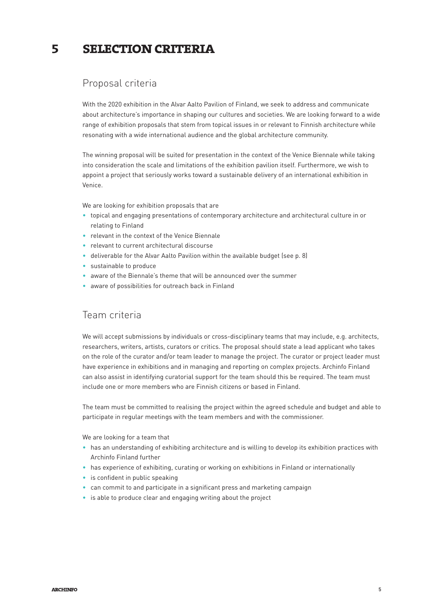#### **selection criteria 5**

# Proposal criteria

With the 2020 exhibition in the Alvar Aalto Pavilion of Finland, we seek to address and communicate about architecture's importance in shaping our cultures and societies. We are looking forward to a wide range of exhibition proposals that stem from topical issues in or relevant to Finnish architecture while resonating with a wide international audience and the global architecture community.

The winning proposal will be suited for presentation in the context of the Venice Biennale while taking into consideration the scale and limitations of the exhibition pavilion itself. Furthermore, we wish to appoint a project that seriously works toward a sustainable delivery of an international exhibition in Venice.

We are looking for exhibition proposals that are

- topical and engaging presentations of contemporary architecture and architectural culture in or relating to Finland
- relevant in the context of the Venice Biennale
- relevant to current architectural discourse
- deliverable for the Alvar Aalto Pavilion within the available budget (see p. 8)
- sustainable to produce
- aware of the Biennale's theme that will be announced over the summer
- aware of possibilities for outreach back in Finland

## Team criteria

We will accept submissions by individuals or cross-disciplinary teams that may include, e.g. architects, researchers, writers, artists, curators or critics. The proposal should state a lead applicant who takes on the role of the curator and/or team leader to manage the project. The curator or project leader must have experience in exhibitions and in managing and reporting on complex projects. Archinfo Finland can also assist in identifying curatorial support for the team should this be required. The team must include one or more members who are Finnish citizens or based in Finland.

The team must be committed to realising the project within the agreed schedule and budget and able to participate in regular meetings with the team members and with the commissioner.

We are looking for a team that

- has an understanding of exhibiting architecture and is willing to develop its exhibition practices with Archinfo Finland further
- has experience of exhibiting, curating or working on exhibitions in Finland or internationally
- is confident in public speaking
- can commit to and participate in a significant press and marketing campaign
- is able to produce clear and engaging writing about the project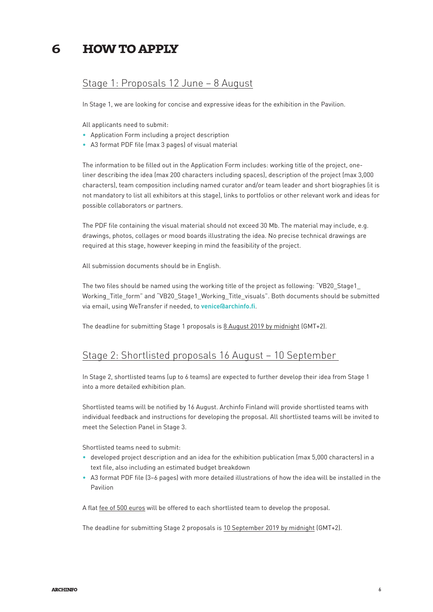#### **how to apply 6**

#### Stage 1: Proposals 12 June – 8 August

In Stage 1, we are looking for concise and expressive ideas for the exhibition in the Pavilion.

All applicants need to submit:

- Application Form including a project description
- A3 format PDF file (max 3 pages) of visual material

The information to be filled out in the Application Form includes: working title of the project, oneliner describing the idea (max 200 characters including spaces), description of the project (max 3,000 characters), team composition including named curator and/or team leader and short biographies (it is not mandatory to list all exhibitors at this stage), links to portfolios or other relevant work and ideas for possible collaborators or partners.

The PDF file containing the visual material should not exceed 30 Mb. The material may include, e.g. drawings, photos, collages or mood boards illustrating the idea. No precise technical drawings are required at this stage, however keeping in mind the feasibility of the project.

All submission documents should be in English.

The two files should be named using the working title of the project as following: "VB20\_Stage1\_ Working\_Title\_form" and "VB20\_Stage1\_Working\_Title\_visuals". Both documents should be submitted via email, using WeTransfer if needed, to **[venice@archinfo.fi](mailto:venice@archinfo.fi)**.

The deadline for submitting Stage 1 proposals is 8 August 2019 by midnight (GMT+2).

#### Stage 2: Shortlisted proposals 16 August – 10 September

In Stage 2, shortlisted teams (up to 6 teams) are expected to further develop their idea from Stage 1 into a more detailed exhibition plan.

Shortlisted teams will be notified by 16 August. Archinfo Finland will provide shortlisted teams with individual feedback and instructions for developing the proposal. All shortlisted teams will be invited to meet the Selection Panel in Stage 3.

Shortlisted teams need to submit:

- developed project description and an idea for the exhibition publication (max 5,000 characters) in a text file, also including an estimated budget breakdown
- A3 format PDF file (3–6 pages) with more detailed illustrations of how the idea will be installed in the Pavilion

A flat fee of 500 euros will be offered to each shortlisted team to develop the proposal.

The deadline for submitting Stage 2 proposals is 10 September 2019 by midnight (GMT+2).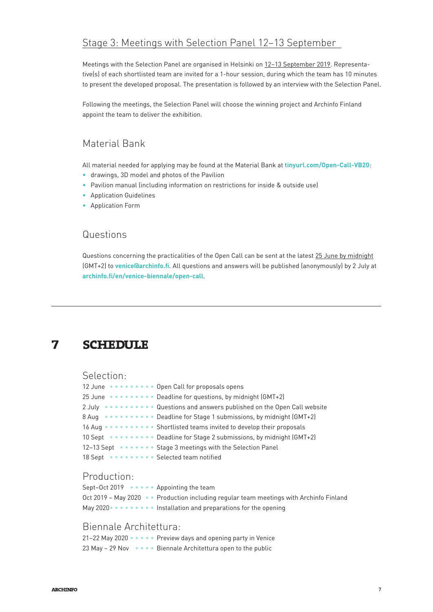# Stage 3: Meetings with Selection Panel 12–13 September

Meetings with the Selection Panel are organised in Helsinki on 12–13 September 2019. Representative(s) of each shortlisted team are invited for a 1-hour session, during which the team has 10 minutes to present the developed proposal. The presentation is followed by an interview with the Selection Panel.

Following the meetings, the Selection Panel will choose the winning project and Archinfo Finland appoint the team to deliver the exhibition.

# Material Bank

All material needed for applying may be found at the Material Bank at **[tinyurl.com/Open-Call-VB20](https://www.dropbox.com/sh/xuzjz2upmtbpyix/AABiUKlBSymnqMcTNBZzwhi8a?dl=0)**:

- drawings, 3D model and photos of the Pavilion
- Pavilion manual (including information on restrictions for inside & outside use)
- Application Guidelines
- Application Form

#### Questions

Questions concerning the practicalities of the Open Call can be sent at the latest 25 June by midnight (GMT+2) to **[venice@archinfo.fi](mailto:venice@archinfo.fi)**. All questions and answers will be published (anonymously) by 2 July at **[archinfo.fi/en/venice-biennale/open-call](http://archinfo.fi/en/venice-biennale/open-call)**.

# **7 schedule**

#### Selection:

| 12 June  Open Call for proposals opens                                     |  |
|----------------------------------------------------------------------------|--|
| 25 June •••••••••• Deadline for questions, by midnight (GMT+2)             |  |
| 2 July •••••••••• Questions and answers published on the Open Call website |  |
| 8 Aug •••••••••• Deadline for Stage 1 submissions, by midnight (GMT+2)     |  |
| 16 Aug •••••••••• Shortlisted teams invited to develop their proposals     |  |
| 10 Sept ••••••••• Deadline for Stage 2 submissions, by midnight (GMT+2)    |  |
| 12-13 Sept ••••••• Stage 3 meetings with the Selection Panel               |  |
| 18 Sept <b>**********</b> Selected team notified                           |  |

#### Production:

```
Sept-Oct 2019 •••••• Appointing the team
Oct 2019 - May 2020 • • Production including regular team meetings with Archinfo Finland
May 2020 • • • • • • • • Installation and preparations for the opening
```
# Biennale Architettura:

|  |  | 21-22 May 2020 ••••• Preview days and opening party in Venice  |
|--|--|----------------------------------------------------------------|
|  |  | 23 May - 29 Nov ••••• Biennale Architettura open to the public |